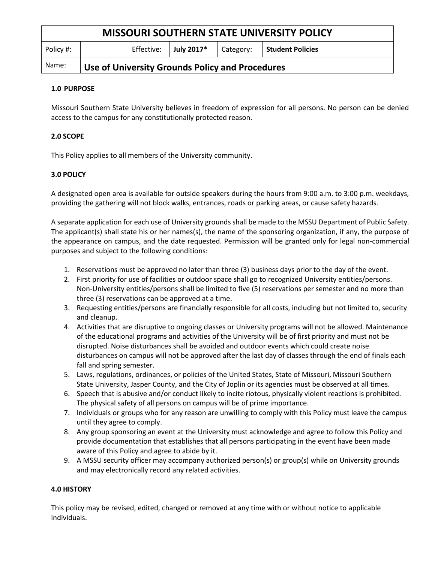| <b>MISSOURI SOUTHERN STATE UNIVERSITY POLICY</b> |                                                 |            |            |           |                  |
|--------------------------------------------------|-------------------------------------------------|------------|------------|-----------|------------------|
| Policy #:                                        |                                                 | Effective: | July 2017* | Category: | Student Policies |
| Name:                                            | Use of University Grounds Policy and Procedures |            |            |           |                  |

### **1.0 PURPOSE**

Missouri Southern State University believes in freedom of expression for all persons. No person can be denied access to the campus for any constitutionally protected reason.

# **2.0 SCOPE**

This Policy applies to all members of the University community.

# **3.0 POLICY**

A designated open area is available for outside speakers during the hours from 9:00 a.m. to 3:00 p.m. weekdays, providing the gathering will not block walks, entrances, roads or parking areas, or cause safety hazards.

A separate application for each use of University grounds shall be made to the MSSU Department of Public Safety. The applicant(s) shall state his or her names(s), the name of the sponsoring organization, if any, the purpose of the appearance on campus, and the date requested. Permission will be granted only for legal non-commercial purposes and subject to the following conditions:

- 1. Reservations must be approved no later than three (3) business days prior to the day of the event.
- 2. First priority for use of facilities or outdoor space shall go to recognized University entities/persons. Non-University entities/persons shall be limited to five (5) reservations per semester and no more than three (3) reservations can be approved at a time.
- 3. Requesting entities/persons are financially responsible for all costs, including but not limited to, security and cleanup.
- 4. Activities that are disruptive to ongoing classes or University programs will not be allowed. Maintenance of the educational programs and activities of the University will be of first priority and must not be disrupted. Noise disturbances shall be avoided and outdoor events which could create noise disturbances on campus will not be approved after the last day of classes through the end of finals each fall and spring semester.
- 5. Laws, regulations, ordinances, or policies of the United States, State of Missouri, Missouri Southern State University, Jasper County, and the City of Joplin or its agencies must be observed at all times.
- 6. Speech that is abusive and/or conduct likely to incite riotous, physically violent reactions is prohibited. The physical safety of all persons on campus will be of prime importance.
- 7. Individuals or groups who for any reason are unwilling to comply with this Policy must leave the campus until they agree to comply.
- 8. Any group sponsoring an event at the University must acknowledge and agree to follow this Policy and provide documentation that establishes that all persons participating in the event have been made aware of this Policy and agree to abide by it.
- 9. A MSSU security officer may accompany authorized person(s) or group(s) while on University grounds and may electronically record any related activities.

#### **4.0 HISTORY**

This policy may be revised, edited, changed or removed at any time with or without notice to applicable individuals.